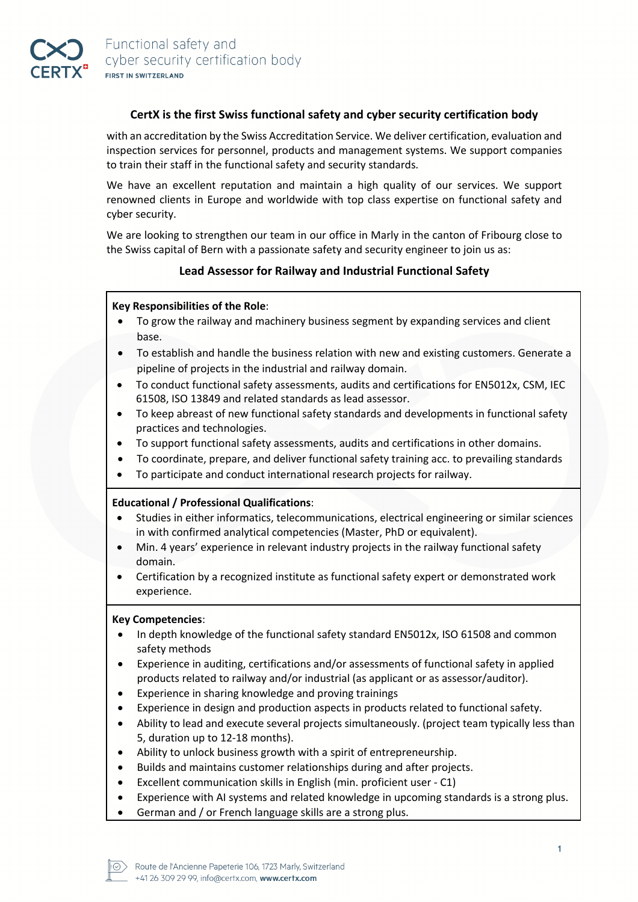## **CertX is the first Swiss functional safety and cyber security certification body**

with an accreditation by the Swiss Accreditation Service. We deliver certification, evaluation and inspection services for personnel, products and management systems. We support companies to train their staff in the functional safety and security standards.

We have an excellent reputation and maintain a high quality of our services. We support renowned clients in Europe and worldwide with top class expertise on functional safety and cyber security.

We are looking to strengthen our team in our office in Marly in the canton of Fribourg close to the Swiss capital of Bern with a passionate safety and security engineer to join us as:

# **Lead Assessor for Railway and Industrial Functional Safety**

### **Key Responsibilities of the Role**:

- To grow the railway and machinery business segment by expanding services and client base.
- To establish and handle the business relation with new and existing customers. Generate a pipeline of projects in the industrial and railway domain.
- To conduct functional safety assessments, audits and certifications for EN5012x, CSM, IEC 61508, ISO 13849 and related standards as lead assessor.
- To keep abreast of new functional safety standards and developments in functional safety practices and technologies.
- To support functional safety assessments, audits and certifications in other domains.
- To coordinate, prepare, and deliver functional safety training acc. to prevailing standards
- To participate and conduct international research projects for railway.

### **Educational / Professional Qualifications**:

- Studies in either informatics, telecommunications, electrical engineering or similar sciences in with confirmed analytical competencies (Master, PhD or equivalent).
- Min. 4 years' experience in relevant industry projects in the railway functional safety domain.
- Certification by a recognized institute as functional safety expert or demonstrated work experience.

### **Key Competencies**:

- In depth knowledge of the functional safety standard EN5012x, ISO 61508 and common safety methods
- Experience in auditing, certifications and/or assessments of functional safety in applied products related to railway and/or industrial (as applicant or as assessor/auditor).
- Experience in sharing knowledge and proving trainings
- Experience in design and production aspects in products related to functional safety.
- Ability to lead and execute several projects simultaneously. (project team typically less than 5, duration up to 12-18 months).
- Ability to unlock business growth with a spirit of entrepreneurship.
- Builds and maintains customer relationships during and after projects.
- Excellent communication skills in English (min. proficient user C1)
- Experience with AI systems and related knowledge in upcoming standards is a strong plus.
- German and / or French language skills are a strong plus.